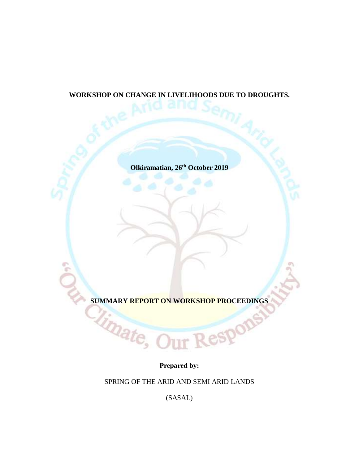# **WORKSHOP ON CHANGE IN LIVELIHOODS DUE TO DROUGHTS.**

**Olkiramatian, 26th October 2019**

**SUMMARY REPORT ON WORKSHOP PROCEEDINGS** 

Respons

e6

**Prepared by:**

SPRING OF THE ARID AND SEMI ARID LANDS

(SASAL)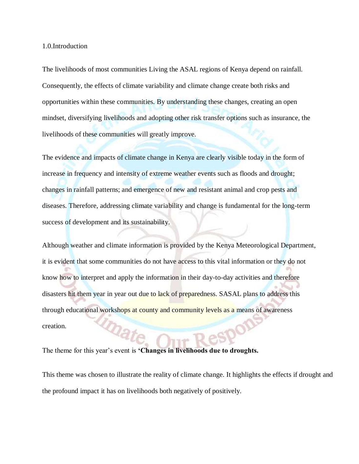1.0.Introduction

The livelihoods of most communities Living the ASAL regions of Kenya depend on rainfall. Consequently, the effects of climate variability and climate change create both risks and opportunities within these communities. By understanding these changes, creating an open mindset, diversifying livelihoods and adopting other risk transfer options such as insurance, the livelihoods of these communities will greatly improve.

The evidence and impacts of climate change in Kenya are clearly visible today in the form of increase in frequency and intensity of extreme weather events such as floods and drought; changes in rainfall patterns; and emergence of new and resistant animal and crop pests and diseases. Therefore, addressing climate variability and change is fundamental for the long-term success of development and its sustainability.

Although weather and climate information is provided by the Kenya Meteorological Department, it is evident that some communities do not have access to this vital information or they do not know how to interpret and apply the information in their day-to-day activities and therefore disasters hit them year in year out due to lack of preparedness. SASAL plans to address this through educational workshops at county and community levels as a means of awareness mate creation.

The theme for this year's event is **'Changes in livelihoods due to droughts.** 

This theme was chosen to illustrate the reality of climate change. It highlights the effects if drought and the profound impact it has on livelihoods both negatively of positively.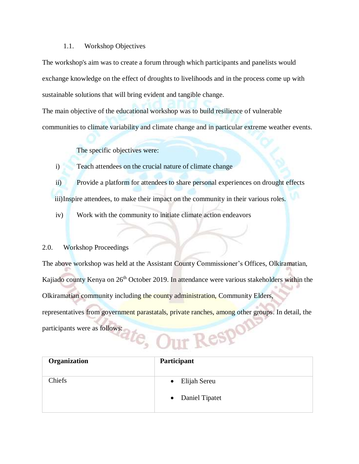#### 1.1. Workshop Objectives

The workshop's aim was to create a forum through which participants and panelists would exchange knowledge on the effect of droughts to livelihoods and in the process come up with sustainable solutions that will bring evident and tangible change.

The main objective of the educational workshop was to build resilience of vulnerable communities to climate variability and climate change and in particular extreme weather events.

The specific objectives were:

i) Teach attendees on the crucial nature of climate change

ii) Provide a platform for attendees to share personal experiences on drought effects

iii)Inspire attendees, to make their impact on the community in their various roles.

iv) Work with the community to initiate climate action endeavors

### 2.0. Workshop Proceedings

The above workshop was held at the Assistant County Commissioner's Offices, Olkiramatian, Kajiado county Kenya on 26<sup>th</sup> October 2019. In attendance were various stakeholders within the Olkiramatian community including the county administration, Community Elders, representatives from government parastatals, private ranches, among other groups. In detail, the participants were as follows: ate, Our ReSPON

| Organization | Participant                                   |
|--------------|-----------------------------------------------|
| Chiefs       | Elijah Sereu<br>$\bullet$<br>• Daniel Tipatet |
|              |                                               |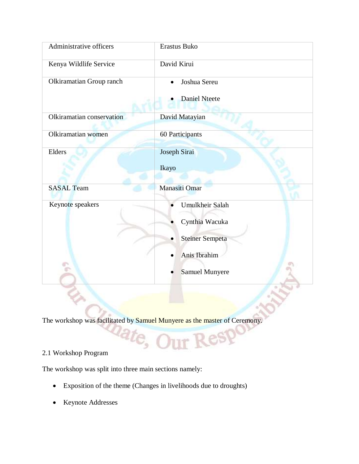| Administrative officers   | Erastus Buko                                                                                         |
|---------------------------|------------------------------------------------------------------------------------------------------|
| Kenya Wildlife Service    | David Kirui                                                                                          |
| Olkiramatian Group ranch  | Joshua Sereu                                                                                         |
|                           | <b>Daniel Nteete</b>                                                                                 |
| Olkiramatian conservation | David Matayian                                                                                       |
| Olkiramatian women        | 60 Participants                                                                                      |
| Elders                    | Joseph Sirai<br>Ikayo                                                                                |
| <b>SASAL</b> Team         | Manasiti Omar                                                                                        |
| Keynote speakers          | Umulkheir Salah<br>Cynthia Wacuka<br><b>Steiner Sempeta</b><br>Anis Ibrahim<br><b>Samuel Munyere</b> |
|                           |                                                                                                      |

The workshop was facilitated by Samuel Munyere as the master of Ceremony.

 $_{\rm{DIT}}$ 

 $\mathit{c}_\mathit{s}$  (

Resp

## 2.1 Workshop Program

The workshop was split into three main sections namely:

- Exposition of the theme (Changes in livelihoods due to droughts)
- Keynote Addresses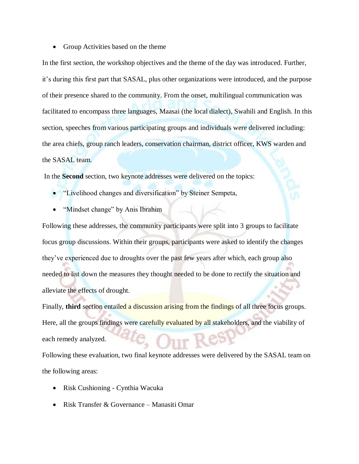• Group Activities based on the theme

In the first section, the workshop objectives and the theme of the day was introduced. Further, it's during this first part that SASAL, plus other organizations were introduced, and the purpose of their presence shared to the community. From the onset, multilingual communication was facilitated to encompass three languages, Maasai (the local dialect), Swahili and English. In this section, speeches from various participating groups and individuals were delivered including: the area chiefs, group ranch leaders, conservation chairman, district officer, KWS warden and the SASAL team.

In the **Second** section, two keynote addresses were delivered on the topics:

- "Livelihood changes and diversification" by Steiner Sempeta,
- "Mindset change" by Anis Ibrahim

Following these addresses, the community participants were split into 3 groups to facilitate focus group discussions. Within their groups, participants were asked to identify the changes they've experienced due to droughts over the past few years after which, each group also needed to list down the measures they thought needed to be done to rectify the situation and alleviate the effects of drought.

Finally, **third** section entailed a discussion arising from the findings of all three focus groups. Here, all the groups findings were carefully evaluated by all stakeholders, and the viability of each remedy analyzed.

Following these evaluation, two final keynote addresses were delivered by the SASAL team on the following areas:

- Risk Cushioning Cynthia Wacuka
- Risk Transfer & Governance Manasiti Omar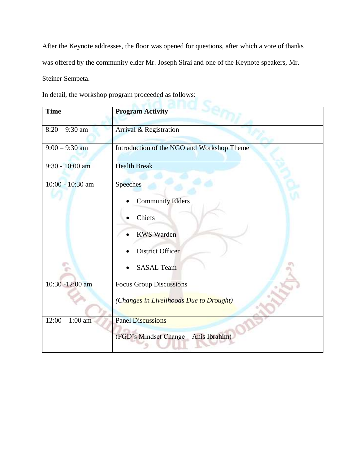After the Keynote addresses, the floor was opened for questions, after which a vote of thanks was offered by the community elder Mr. Joseph Sirai and one of the Keynote speakers, Mr. Steiner Sempeta.

In detail, the workshop program proceeded as follows:

| <b>Time</b>                  | <b>Program Activity</b>                                                                                                          |
|------------------------------|----------------------------------------------------------------------------------------------------------------------------------|
| $8:20 - 9:30$ am             | Arrival & Registration                                                                                                           |
| $9:00 - 9:30$ am             | Introduction of the NGO and Workshop Theme                                                                                       |
| 9:30 - 10:00 am              | <b>Health Break</b>                                                                                                              |
| 10:00 - 10:30 am             | <b>Speeches</b><br><b>Community Elders</b><br><b>Chiefs</b><br><b>KWS Warden</b><br><b>District Officer</b><br><b>SASAL Team</b> |
| 10:30 -12:00 am              | <b>Focus Group Discussions</b><br>(Changes in Livelihoods Due to Drought)                                                        |
| $\overline{12:00} - 1:00$ am | <b>Panel Discussions</b><br>(FGD's Mindset Change - Anis Ibrahim)                                                                |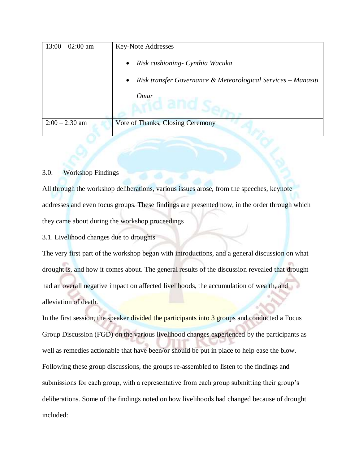| $13:00 - 02:00$ am | <b>Key-Note Addresses</b>                                                  |  |
|--------------------|----------------------------------------------------------------------------|--|
|                    | Risk cushioning - Cynthia Wacuka<br>$\bullet$                              |  |
|                    | Risk transfer Governance & Meteorological Services - Manasiti<br>$\bullet$ |  |
|                    | <b>Omar</b>                                                                |  |
| $2:00 - 2:30$ am   | Vote of Thanks, Closing Ceremony                                           |  |

### 3.0. Workshop Findings

All through the workshop deliberations, various issues arose, from the speeches, keynote addresses and even focus groups. These findings are presented now, in the order through which they came about during the workshop proceedings

3.1. Livelihood changes due to droughts

The very first part of the workshop began with introductions, and a general discussion on what drought is, and how it comes about. The general results of the discussion revealed that drought had an overall negative impact on affected livelihoods, the accumulation of wealth, and alleviation of death.

In the first session, the speaker divided the participants into 3 groups and conducted a Focus Group Discussion (FGD) on the various livelihood changes experienced by the participants as well as remedies actionable that have been/or should be put in place to help ease the blow. Following these group discussions, the groups re-assembled to listen to the findings and submissions for each group, with a representative from each group submitting their group's deliberations. Some of the findings noted on how livelihoods had changed because of drought included: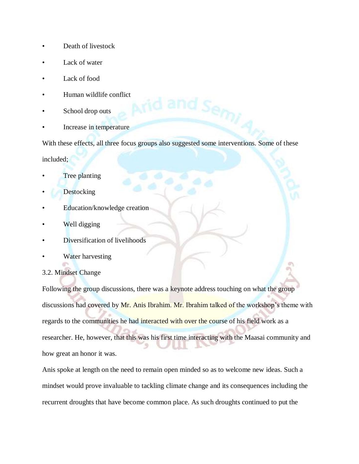- Death of livestock
- Lack of water
- Lack of food
- Human wildlife conflict
- School drop outs
- Increase in temperature

With these effects, all three focus groups also suggested some interventions. Some of these

included;

- Tree planting
- **Destocking**
- Education/knowledge creation
- Well digging
- Diversification of livelihoods
- Water harvesting

## 3.2. Mindset Change

Following the group discussions, there was a keynote address touching on what the group discussions had covered by Mr. Anis Ibrahim. Mr. Ibrahim talked of the workshop's theme with regards to the communities he had interacted with over the course of his field work as a researcher. He, however, that this was his first time interacting with the Maasai community and how great an honor it was.

Anis spoke at length on the need to remain open minded so as to welcome new ideas. Such a mindset would prove invaluable to tackling climate change and its consequences including the recurrent droughts that have become common place. As such droughts continued to put the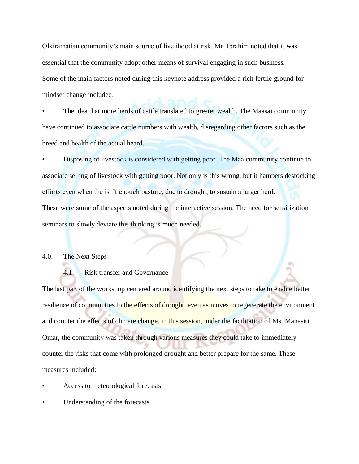Olkiramatian community's main source of livelihood at risk. Mr. Ibrahim noted that it was essential that the community adopt other means of survival engaging in such business. Some of the main factors noted during this keynote address provided a rich fertile ground for mindset change included:

The idea that more herds of cattle translated to greater wealth. The Maasai community have continued to associate cattle numbers with wealth, disregarding other factors such as the breed and health of the actual heard.

• Disposing of livestock is considered with getting poor. The Maa community continue to associate selling of livestock with getting poor. Not only is this wrong, but it hampers destocking efforts even when the isn't enough pasture, due to drought, to sustain a larger herd. These were some of the aspects noted during the interactive session. The need for sensitization seminars to slowly deviate this thinking is much needed.

#### 4.0. The Next Steps

#### 4.1. Risk transfer and Governance

The last part of the workshop centered around identifying the next steps to take to enable better resilience of communities to the effects of drought, even as moves to regenerate the environment and counter the effects of climate change. in this session, under the facilitation of Ms. Manasiti Omar, the community was taken through various measures they could take to immediately counter the risks that come with prolonged drought and better prepare for the same. These measures included;

- Access to meteorological forecasts
- Understanding of the forecasts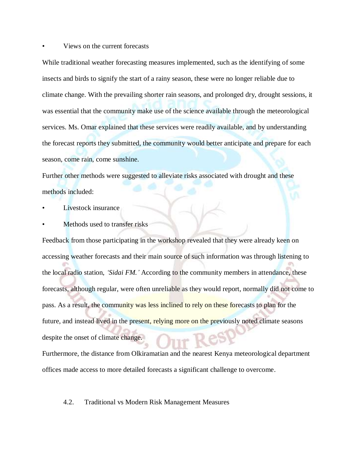#### • Views on the current forecasts

While traditional weather forecasting measures implemented, such as the identifying of some insects and birds to signify the start of a rainy season, these were no longer reliable due to climate change. With the prevailing shorter rain seasons, and prolonged dry, drought sessions, it was essential that the community make use of the science available through the meteorological services. Ms. Omar explained that these services were readily available, and by understanding the forecast reports they submitted, the community would better anticipate and prepare for each season, come rain, come sunshine.

Further other methods were suggested to alleviate risks associated with drought and these methods included:

- Livestock insurance
- Methods used to transfer risks

Feedback from those participating in the workshop revealed that they were already keen on accessing weather forecasts and their main source of such information was through listening to the local radio station, *'Sidai FM.'* According to the community members in attendance, these forecasts, although regular, were often unreliable as they would report, normally did not come to pass. As a result, the community was less inclined to rely on these forecasts to plan for the future, and instead lived in the present, relying more on the previously noted climate seasons despite the onset of climate change.

Furthermore, the distance from Olkiramatian and the nearest Kenya meteorological department offices made access to more detailed forecasts a significant challenge to overcome.

#### 4.2. Traditional vs Modern Risk Management Measures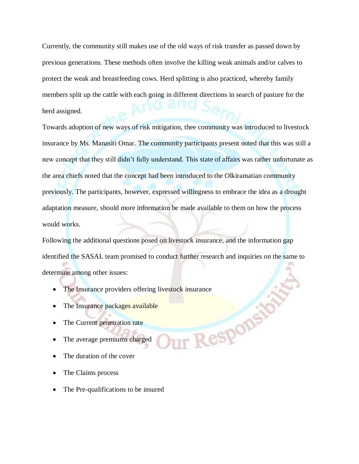Currently, the community still makes use of the old ways of risk transfer as passed down by previous generations. These methods often involve the killing weak animals and/or calves to protect the weak and breastfeeding cows. Herd splitting is also practiced, whereby family members split up the cattle with each going in different directions in search of pasture for the herd assigned.

Towards adoption of new ways of risk mitigation, thee community was introduced to livestock insurance by Ms. Manasiti Omar. The community participants present noted that this was still a new concept that they still didn't fully understand. This state of affairs was rather unfortunate as the area chiefs noted that the concept had been introduced to the Olkiramatian community previously. The participants, however, expressed willingness to embrace the idea as a drought adaptation measure, should more information be made available to them on how the process would works.

Following the additional questions posed on livestock insurance, and the information gap identified the SASAL team promised to conduct further research and inquiries on the same to determine among other issues:

Ir Responsi

- The Insurance providers offering livestock insurance
- The Insurance packages available
- The Current penetration rate
- The average premiums charged
- The duration of the cover
- The Claims process
- The Pre-qualifications to be insured